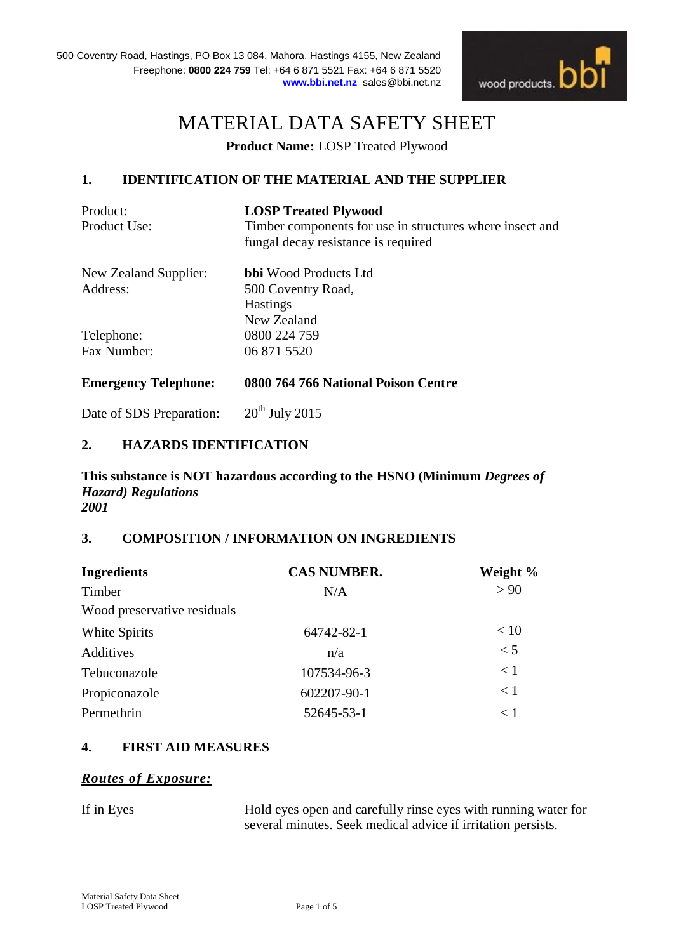

# MATERIAL DATA SAFETY SHEET

**Product Name:** LOSP Treated Plywood

# **1. IDENTIFICATION OF THE MATERIAL AND THE SUPPLIER**

| Product:<br>Product Use:    | <b>LOSP Treated Plywood</b><br>Timber components for use in structures where insect and<br>fungal decay resistance is required |
|-----------------------------|--------------------------------------------------------------------------------------------------------------------------------|
| New Zealand Supplier:       | <b>bbi</b> Wood Products Ltd                                                                                                   |
| Address:                    | 500 Coventry Road,                                                                                                             |
|                             | <b>Hastings</b>                                                                                                                |
|                             | New Zealand                                                                                                                    |
| Telephone:                  | 0800 224 759                                                                                                                   |
| Fax Number:                 | 06 871 5520                                                                                                                    |
| <b>Emergency Telephone:</b> | 0800 764 766 National Poison Centre                                                                                            |
| Date of SDS Preparation:    | $20th$ July 2015                                                                                                               |

# **2. HAZARDS IDENTIFICATION**

**This substance is NOT hazardous according to the HSNO (Minimum** *Degrees of Hazard) Regulations 2001*

## **3. COMPOSITION / INFORMATION ON INGREDIENTS**

| <b>CAS NUMBER.</b> | Weight % |
|--------------------|----------|
| N/A                | > 90     |
|                    |          |
| 64742-82-1         | < 10     |
| n/a                | < 5      |
| 107534-96-3        | < 1      |
| 602207-90-1        | < 1      |
| 52645-53-1         | $<$ 1    |
|                    |          |

## **4. FIRST AID MEASURES**

# *Routes of Exposure:*

If in Eyes Hold eyes open and carefully rinse eyes with running water for several minutes. Seek medical advice if irritation persists.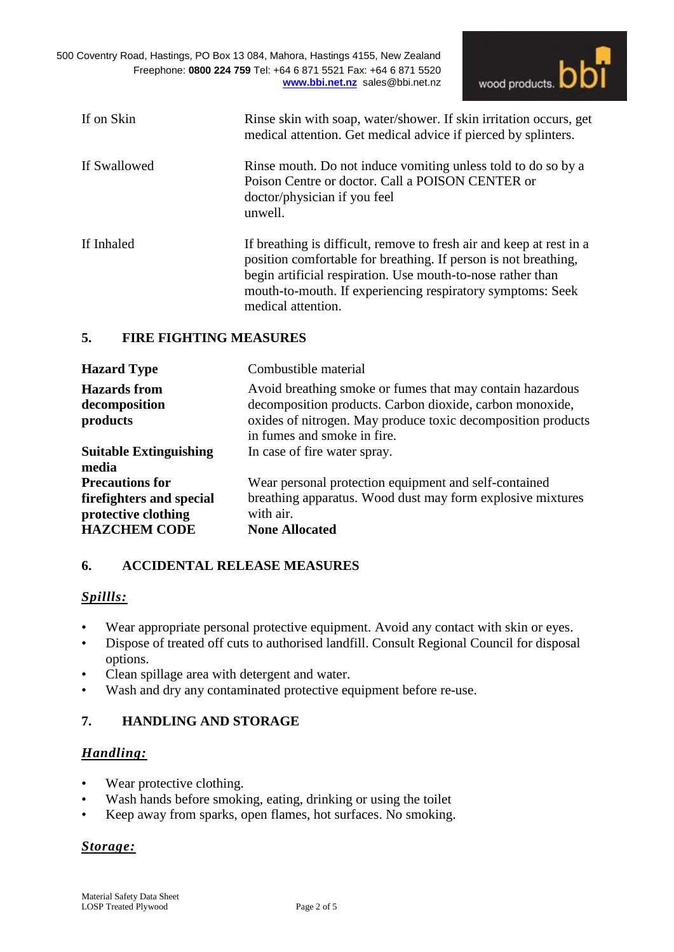500 Coventry Road, Hastings, PO Box 13 084, Mahora, Hastings 4155, New Zealand Freephone: **0800 224 759** Tel: +64 6 871 5521 Fax: +64 6 871 5520 **[www.bbi.net.nz](http://www.bbi.net.nz/)** sales@bbi.net.nz



| If on Skin   | Rinse skin with soap, water/shower. If skin irritation occurs, get<br>medical attention. Get medical advice if pierced by splinters.                                                                                                                                                       |
|--------------|--------------------------------------------------------------------------------------------------------------------------------------------------------------------------------------------------------------------------------------------------------------------------------------------|
| If Swallowed | Rinse mouth. Do not induce vomiting unless told to do so by a<br>Poison Centre or doctor. Call a POISON CENTER or<br>doctor/physician if you feel<br>unwell.                                                                                                                               |
| If Inhaled   | If breathing is difficult, remove to fresh air and keep at rest in a<br>position comfortable for breathing. If person is not breathing,<br>begin artificial respiration. Use mouth-to-nose rather than<br>mouth-to-mouth. If experiencing respiratory symptoms: Seek<br>medical attention. |

## **5. FIRE FIGHTING MEASURES**

| <b>Hazard Type</b>                                                                                | Combustible material                                                                                                                                                                                                 |
|---------------------------------------------------------------------------------------------------|----------------------------------------------------------------------------------------------------------------------------------------------------------------------------------------------------------------------|
| <b>Hazards</b> from<br>decomposition<br>products                                                  | Avoid breathing smoke or fumes that may contain hazardous<br>decomposition products. Carbon dioxide, carbon monoxide,<br>oxides of nitrogen. May produce toxic decomposition products<br>in fumes and smoke in fire. |
| <b>Suitable Extinguishing</b><br>media                                                            | In case of fire water spray.                                                                                                                                                                                         |
| <b>Precautions for</b><br>fire fighters and special<br>protective clothing<br><b>HAZCHEM CODE</b> | Wear personal protection equipment and self-contained<br>breathing apparatus. Wood dust may form explosive mixtures<br>with air.<br><b>None Allocated</b>                                                            |

# **6. ACCIDENTAL RELEASE MEASURES**

# *Spillls:*

- Wear appropriate personal protective equipment. Avoid any contact with skin or eyes.
- Dispose of treated off cuts to authorised landfill. Consult Regional Council for disposal options.
- Clean spillage area with detergent and water.
- Wash and dry any contaminated protective equipment before re-use.

# **7. HANDLING AND STORAGE**

# *Handling:*

- Wear protective clothing.
- Wash hands before smoking, eating, drinking or using the toilet
- Keep away from sparks, open flames, hot surfaces. No smoking.

## *Storage:*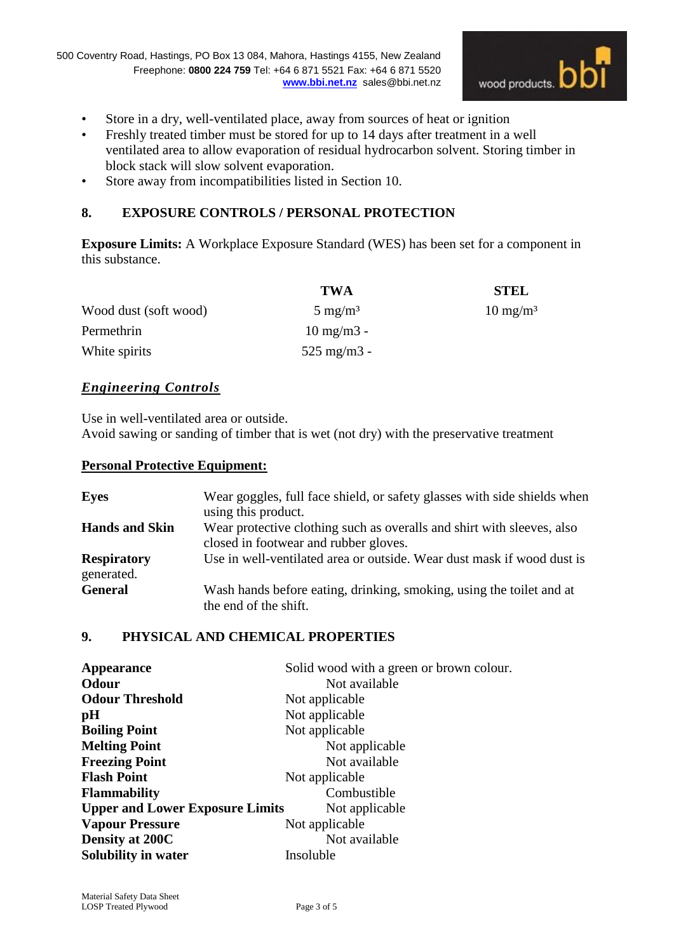

- Store in a dry, well-ventilated place, away from sources of heat or ignition
- Freshly treated timber must be stored for up to 14 days after treatment in a well ventilated area to allow evaporation of residual hydrocarbon solvent. Storing timber in block stack will slow solvent evaporation.
- Store away from incompatibilities listed in Section 10.

# **8. EXPOSURE CONTROLS / PERSONAL PROTECTION**

**Exposure Limits:** A Workplace Exposure Standard (WES) has been set for a component in this substance.

|                       | <b>TWA</b>             | <b>STEL</b>         |
|-----------------------|------------------------|---------------------|
| Wood dust (soft wood) | $5 \text{ mg/m}^3$     | $10 \text{ mg/m}^3$ |
| Permethrin            | $10 \text{ mg/m}$ 3 -  |                     |
| White spirits         | $525 \text{ mg/m}$ 3 - |                     |

## *Engineering Controls*

Use in well-ventilated area or outside.

Avoid sawing or sanding of timber that is wet (not dry) with the preservative treatment

#### **Personal Protective Equipment:**

| <b>Eyes</b>                      | Wear goggles, full face shield, or safety glasses with side shields when                      |
|----------------------------------|-----------------------------------------------------------------------------------------------|
|                                  | using this product.                                                                           |
| <b>Hands and Skin</b>            | Wear protective clothing such as overalls and shirt with sleeves, also                        |
|                                  | closed in footwear and rubber gloves.                                                         |
| <b>Respiratory</b><br>generated. | Use in well-ventilated area or outside. Wear dust mask if wood dust is                        |
| <b>General</b>                   | Wash hands before eating, drinking, smoking, using the toilet and at<br>the end of the shift. |

# **9. PHYSICAL AND CHEMICAL PROPERTIES**

| Appearance                             | Solid wood with a green or brown colour. |
|----------------------------------------|------------------------------------------|
| <b>Odour</b>                           | Not available                            |
| <b>Odour Threshold</b>                 | Not applicable                           |
| pH                                     | Not applicable                           |
| <b>Boiling Point</b>                   | Not applicable                           |
| <b>Melting Point</b>                   | Not applicable                           |
| <b>Freezing Point</b>                  | Not available                            |
| <b>Flash Point</b>                     | Not applicable                           |
| <b>Flammability</b>                    | Combustible                              |
| <b>Upper and Lower Exposure Limits</b> | Not applicable                           |
| <b>Vapour Pressure</b>                 | Not applicable                           |
| Density at 200C                        | Not available                            |
| Solubility in water                    | Insoluble                                |
|                                        |                                          |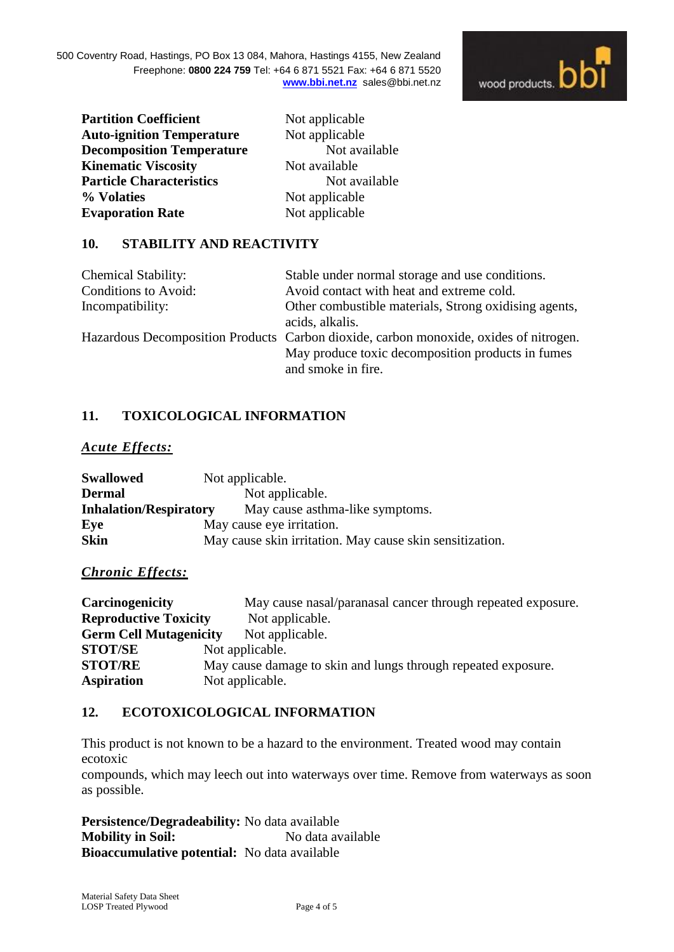

**Partition Coefficient Not applicable Auto-ignition Temperature** Not applicable **Decomposition Temperature** Not available **Kinematic Viscosity Not available Particle Characteristics** Not available **% Volaties** Not applicable **Evaporation Rate Not applicable** 

## **10. STABILITY AND REACTIVITY**

| <b>Chemical Stability:</b> | Stable under normal storage and use conditions.                                       |
|----------------------------|---------------------------------------------------------------------------------------|
| Conditions to Avoid:       | Avoid contact with heat and extreme cold.                                             |
| Incompatibility:           | Other combustible materials, Strong oxidising agents,                                 |
|                            | acids, alkalis.                                                                       |
|                            | Hazardous Decomposition Products Carbon dioxide, carbon monoxide, oxides of nitrogen. |
|                            | May produce toxic decomposition products in fumes                                     |
|                            | and smoke in fire.                                                                    |

# **11. TOXICOLOGICAL INFORMATION**

#### *Acute Effects:*

| <b>Swallowed</b>              | Not applicable.                                          |
|-------------------------------|----------------------------------------------------------|
| <b>Dermal</b>                 | Not applicable.                                          |
| <b>Inhalation/Respiratory</b> | May cause asthma-like symptoms.                          |
| Eye                           | May cause eye irritation.                                |
| <b>Skin</b>                   | May cause skin irritation. May cause skin sensitization. |

## *Chronic Effects:*

| Carcinogenicity               |                                                               | May cause nasal/paranasal cancer through repeated exposure. |
|-------------------------------|---------------------------------------------------------------|-------------------------------------------------------------|
| <b>Reproductive Toxicity</b>  |                                                               | Not applicable.                                             |
| <b>Germ Cell Mutagenicity</b> |                                                               | Not applicable.                                             |
| <b>STOT/SE</b>                | Not applicable.                                               |                                                             |
| <b>STOT/RE</b>                | May cause damage to skin and lungs through repeated exposure. |                                                             |
| <b>Aspiration</b>             | Not applicable.                                               |                                                             |

# **12. ECOTOXICOLOGICAL INFORMATION**

This product is not known to be a hazard to the environment. Treated wood may contain ecotoxic

compounds, which may leech out into waterways over time. Remove from waterways as soon as possible.

**Persistence/Degradeability:** No data available **Mobility in Soil:** No data available **Bioaccumulative potential:** No data available